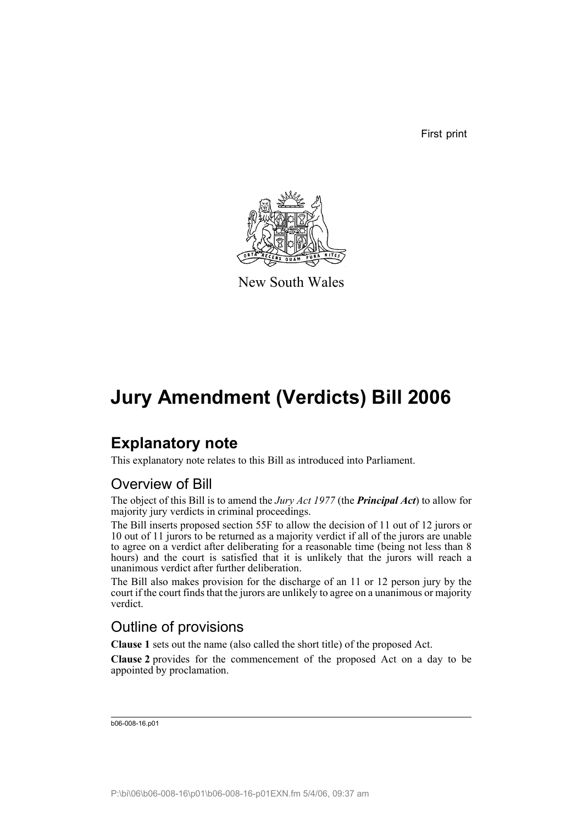First print



New South Wales

## **Jury Amendment (Verdicts) Bill 2006**

## **Explanatory note**

This explanatory note relates to this Bill as introduced into Parliament.

### Overview of Bill

The object of this Bill is to amend the *Jury Act 1977* (the *Principal Act*) to allow for majority jury verdicts in criminal proceedings.

The Bill inserts proposed section 55F to allow the decision of 11 out of 12 jurors or 10 out of 11 jurors to be returned as a majority verdict if all of the jurors are unable to agree on a verdict after deliberating for a reasonable time (being not less than 8 hours) and the court is satisfied that it is unlikely that the jurors will reach a unanimous verdict after further deliberation.

The Bill also makes provision for the discharge of an 11 or 12 person jury by the court if the court finds that the jurors are unlikely to agree on a unanimous or majority verdict.

### Outline of provisions

**Clause 1** sets out the name (also called the short title) of the proposed Act.

**Clause 2** provides for the commencement of the proposed Act on a day to be appointed by proclamation.

b06-008-16.p01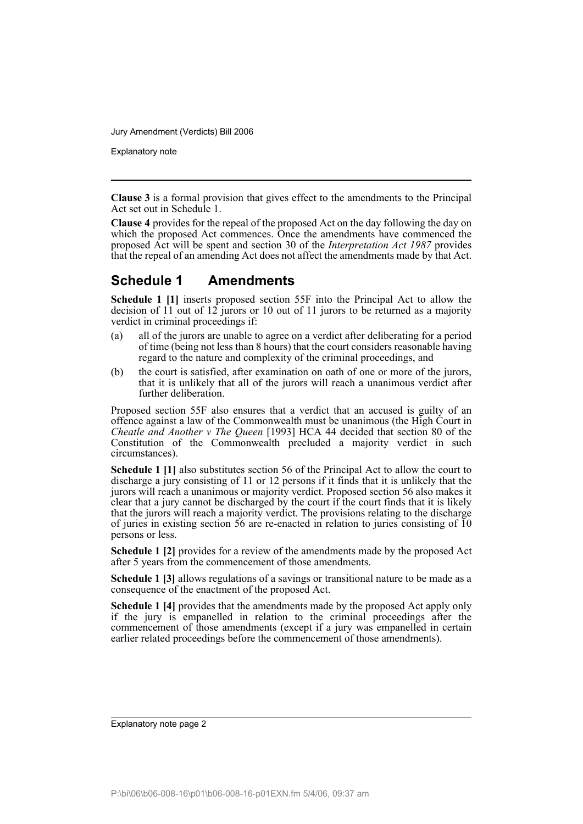Explanatory note

**Clause 3** is a formal provision that gives effect to the amendments to the Principal Act set out in Schedule 1.

**Clause 4** provides for the repeal of the proposed Act on the day following the day on which the proposed Act commences. Once the amendments have commenced the proposed Act will be spent and section 30 of the *Interpretation Act 1987* provides that the repeal of an amending Act does not affect the amendments made by that Act.

#### **Schedule 1 Amendments**

**Schedule 1 [1]** inserts proposed section 55F into the Principal Act to allow the decision of 11 out of 12 jurors or 10 out of 11 jurors to be returned as a majority verdict in criminal proceedings if:

- (a) all of the jurors are unable to agree on a verdict after deliberating for a period of time (being not less than 8 hours) that the court considers reasonable having regard to the nature and complexity of the criminal proceedings, and
- (b) the court is satisfied, after examination on oath of one or more of the jurors, that it is unlikely that all of the jurors will reach a unanimous verdict after further deliberation.

Proposed section 55F also ensures that a verdict that an accused is guilty of an offence against a law of the Commonwealth must be unanimous (the High Court in *Cheatle and Another v The Queen* [1993] HCA 44 decided that section 80 of the Constitution of the Commonwealth precluded a majority verdict in such circumstances).

**Schedule 1 [1]** also substitutes section 56 of the Principal Act to allow the court to discharge a jury consisting of 11 or 12 persons if it finds that it is unlikely that the jurors will reach a unanimous or majority verdict. Proposed section 56 also makes it clear that a jury cannot be discharged by the court if the court finds that it is likely that the jurors will reach a majority verdict. The provisions relating to the discharge of juries in existing section 56 are re-enacted in relation to juries consisting of 10 persons or less.

**Schedule 1 [2]** provides for a review of the amendments made by the proposed Act after 5 years from the commencement of those amendments.

**Schedule 1 [3]** allows regulations of a savings or transitional nature to be made as a consequence of the enactment of the proposed Act.

**Schedule 1 [4]** provides that the amendments made by the proposed Act apply only if the jury is empanelled in relation to the criminal proceedings after the commencement of those amendments (except if a jury was empanelled in certain earlier related proceedings before the commencement of those amendments).

Explanatory note page 2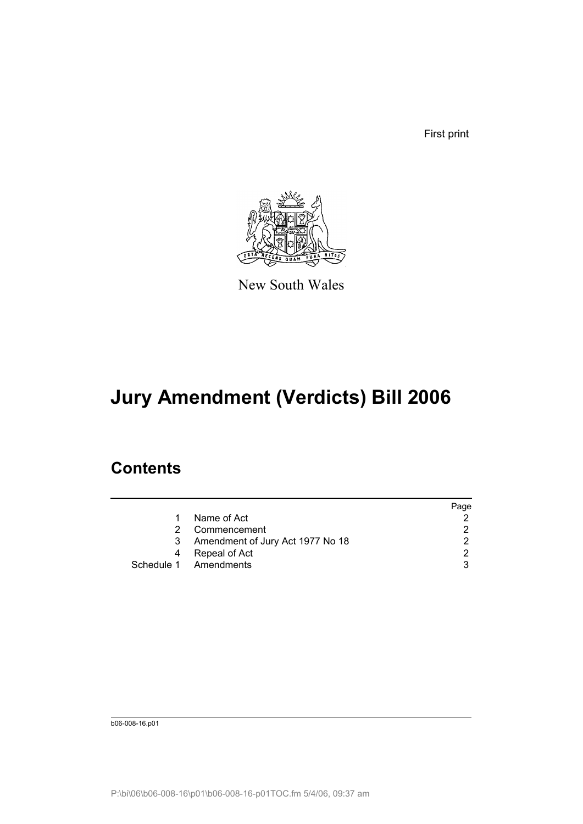First print



New South Wales

# **Jury Amendment (Verdicts) Bill 2006**

### **Contents**

|    |                                  | Page |
|----|----------------------------------|------|
| 1. | Name of Act                      |      |
| 2  | Commencement                     | 2    |
| 3  | Amendment of Jury Act 1977 No 18 | 2    |
| 4  | Repeal of Act                    | 2    |
|    | Schedule 1 Amendments            | 3    |

b06-008-16.p01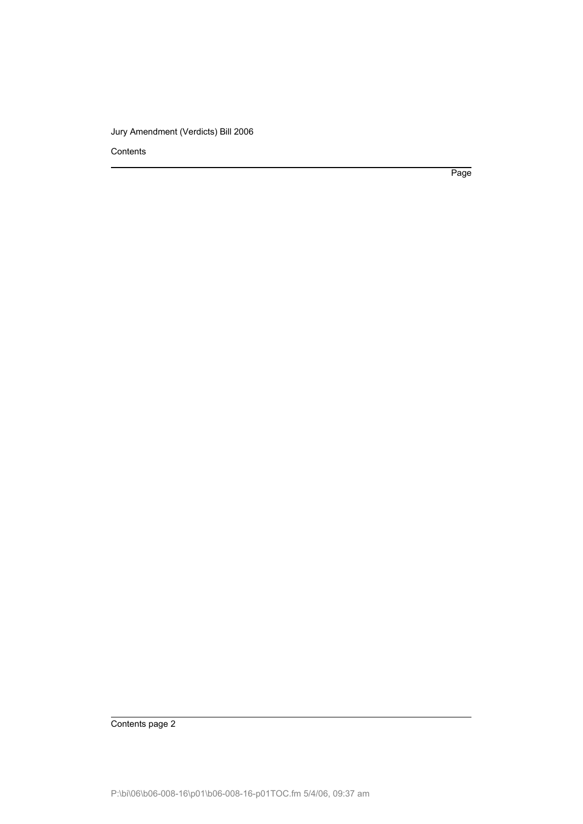Contents

Page

Contents page 2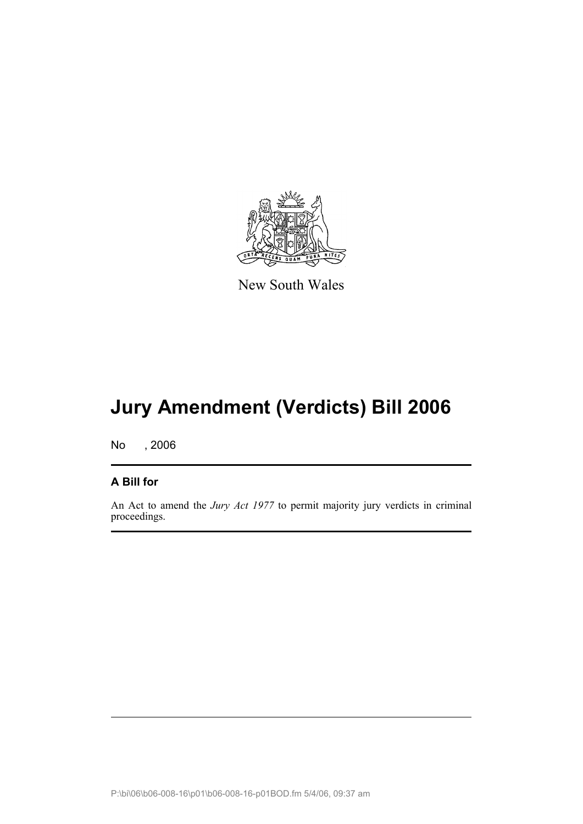

New South Wales

# **Jury Amendment (Verdicts) Bill 2006**

No , 2006

#### **A Bill for**

An Act to amend the *Jury Act 1977* to permit majority jury verdicts in criminal proceedings.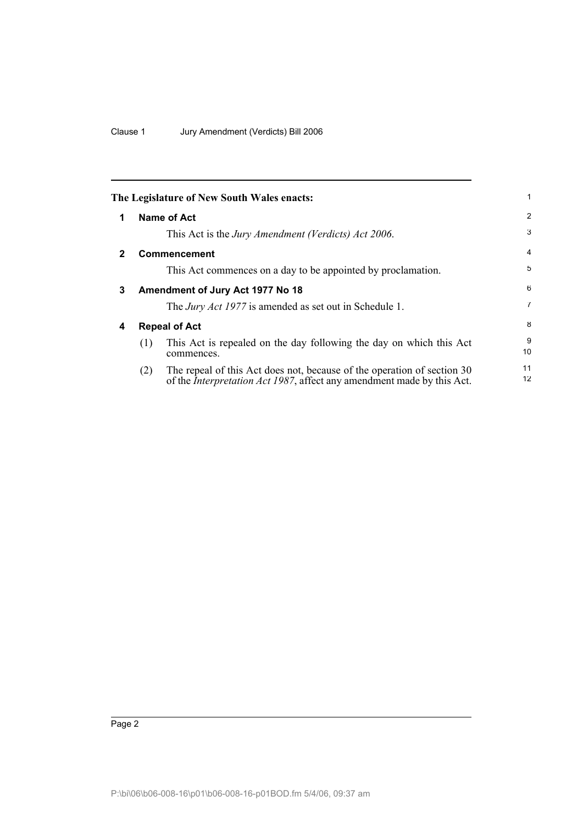<span id="page-5-3"></span><span id="page-5-2"></span><span id="page-5-1"></span><span id="page-5-0"></span>

|   |     | The Legislature of New South Wales enacts:                                                                                                                | 1                       |
|---|-----|-----------------------------------------------------------------------------------------------------------------------------------------------------------|-------------------------|
| 1 |     | Name of Act                                                                                                                                               | 2                       |
|   |     | This Act is the <i>Jury Amendment (Verdicts) Act 2006</i> .                                                                                               | 3                       |
| 2 |     | Commencement                                                                                                                                              | $\overline{4}$          |
|   |     | This Act commences on a day to be appointed by proclamation.                                                                                              | 5                       |
| 3 |     | Amendment of Jury Act 1977 No 18                                                                                                                          | 6                       |
|   |     | The <i>Jury Act 1977</i> is amended as set out in Schedule 1.                                                                                             | $\overline{7}$          |
| 4 |     | <b>Repeal of Act</b>                                                                                                                                      | 8                       |
|   | (1) | This Act is repealed on the day following the day on which this Act<br>commences.                                                                         | 9<br>10                 |
|   | (2) | The repeal of this Act does not, because of the operation of section 30<br>of the <i>Interpretation Act 1987</i> , affect any amendment made by this Act. | 11<br>$12 \overline{ }$ |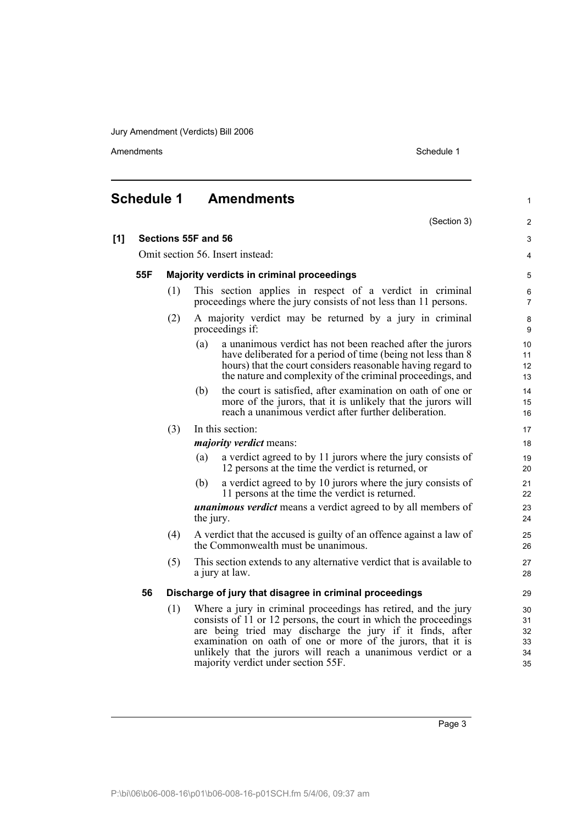Amendments Schedule 1

<span id="page-6-0"></span>

|     | <b>Schedule 1</b>                |                                           | <b>Amendments</b>                                                                                                                                                                                                                                                                                                                                                      | $\mathbf{1}$                     |
|-----|----------------------------------|-------------------------------------------|------------------------------------------------------------------------------------------------------------------------------------------------------------------------------------------------------------------------------------------------------------------------------------------------------------------------------------------------------------------------|----------------------------------|
|     |                                  |                                           |                                                                                                                                                                                                                                                                                                                                                                        | (Section 3)<br>2                 |
| [1] |                                  |                                           | Sections 55F and 56                                                                                                                                                                                                                                                                                                                                                    | 3                                |
|     | Omit section 56. Insert instead: |                                           |                                                                                                                                                                                                                                                                                                                                                                        | 4                                |
|     | 55F                              | Majority verdicts in criminal proceedings |                                                                                                                                                                                                                                                                                                                                                                        | 5                                |
|     |                                  | (1)                                       | This section applies in respect of a verdict in criminal<br>proceedings where the jury consists of not less than 11 persons.                                                                                                                                                                                                                                           | 6<br>$\overline{7}$              |
|     |                                  | (2)                                       | A majority verdict may be returned by a jury in criminal<br>proceedings if:                                                                                                                                                                                                                                                                                            | 8<br>9                           |
|     |                                  |                                           | (a)<br>a unanimous verdict has not been reached after the jurors<br>have deliberated for a period of time (being not less than 8)<br>hours) that the court considers reasonable having regard to<br>the nature and complexity of the criminal proceedings, and                                                                                                         | 10<br>11<br>12<br>13             |
|     |                                  |                                           | the court is satisfied, after examination on oath of one or<br>(b)<br>more of the jurors, that it is unlikely that the jurors will<br>reach a unanimous verdict after further deliberation.                                                                                                                                                                            | 14<br>15<br>16                   |
|     |                                  | (3)                                       | In this section:                                                                                                                                                                                                                                                                                                                                                       | 17                               |
|     |                                  |                                           | <i>majority verdict</i> means:                                                                                                                                                                                                                                                                                                                                         | 18                               |
|     |                                  |                                           | a verdict agreed to by 11 jurors where the jury consists of<br>(a)<br>12 persons at the time the verdict is returned, or                                                                                                                                                                                                                                               | 19<br>20                         |
|     |                                  |                                           | a verdict agreed to by 10 jurors where the jury consists of<br>(b)<br>11 persons at the time the verdict is returned.                                                                                                                                                                                                                                                  | 21<br>22                         |
|     |                                  |                                           | <i>unanimous verdict</i> means a verdict agreed to by all members of<br>the jury.                                                                                                                                                                                                                                                                                      | 23<br>24                         |
|     |                                  | (4)                                       | A verdict that the accused is guilty of an offence against a law of<br>the Commonwealth must be unanimous.                                                                                                                                                                                                                                                             | 25<br>26                         |
|     |                                  | (5)                                       | This section extends to any alternative verdict that is available to<br>a jury at law.                                                                                                                                                                                                                                                                                 | 27<br>28                         |
|     | 56                               |                                           | Discharge of jury that disagree in criminal proceedings                                                                                                                                                                                                                                                                                                                | 29                               |
|     |                                  | (1)                                       | Where a jury in criminal proceedings has retired, and the jury<br>consists of 11 or 12 persons, the court in which the proceedings<br>are being tried may discharge the jury if it finds, after<br>examination on oath of one or more of the jurors, that it is<br>unlikely that the jurors will reach a unanimous verdict or a<br>majority verdict under section 55F. | 30<br>31<br>32<br>33<br>34<br>35 |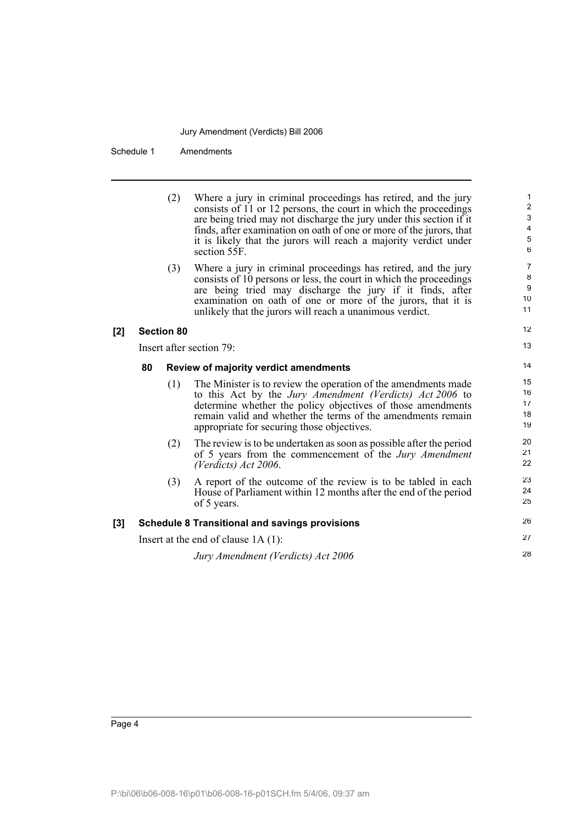Schedule 1 Amendments

|     |                                             | (2)               | Where a jury in criminal proceedings has retired, and the jury<br>consists of 11 or 12 persons, the court in which the proceedings<br>are being tried may not discharge the jury under this section if it<br>finds, after examination on oath of one or more of the jurors, that<br>it is likely that the jurors will reach a majority verdict under<br>section 55F. | 1<br>$\overline{2}$<br>3<br>$\overline{4}$<br>$\sqrt{5}$<br>6 |
|-----|---------------------------------------------|-------------------|----------------------------------------------------------------------------------------------------------------------------------------------------------------------------------------------------------------------------------------------------------------------------------------------------------------------------------------------------------------------|---------------------------------------------------------------|
|     |                                             | (3)               | Where a jury in criminal proceedings has retired, and the jury<br>consists of 10 persons or less, the court in which the proceedings<br>are being tried may discharge the jury if it finds, after<br>examination on oath of one or more of the jurors, that it is<br>unlikely that the jurors will reach a unanimous verdict.                                        | $\overline{7}$<br>8<br>9<br>10<br>11                          |
| [2] |                                             | <b>Section 80</b> |                                                                                                                                                                                                                                                                                                                                                                      | 12                                                            |
|     |                                             |                   | Insert after section 79:                                                                                                                                                                                                                                                                                                                                             | 13                                                            |
|     | 80<br>Review of majority verdict amendments |                   |                                                                                                                                                                                                                                                                                                                                                                      |                                                               |
|     |                                             |                   |                                                                                                                                                                                                                                                                                                                                                                      | 14                                                            |
|     |                                             | (1)               | The Minister is to review the operation of the amendments made<br>to this Act by the Jury Amendment (Verdicts) Act 2006 to<br>determine whether the policy objectives of those amendments<br>remain valid and whether the terms of the amendments remain<br>appropriate for securing those objectives.                                                               | 15<br>16<br>17<br>18<br>19                                    |
|     |                                             | (2)               | The review is to be undertaken as soon as possible after the period<br>of 5 years from the commencement of the Jury Amendment<br>(Verdicts) Act 2006.                                                                                                                                                                                                                | 20<br>21<br>22                                                |
|     |                                             | (3)               | A report of the outcome of the review is to be tabled in each<br>House of Parliament within 12 months after the end of the period<br>of 5 years.                                                                                                                                                                                                                     | 23<br>24<br>25                                                |
| [3] |                                             |                   | <b>Schedule 8 Transitional and savings provisions</b>                                                                                                                                                                                                                                                                                                                | 26                                                            |
|     |                                             |                   | Insert at the end of clause $1A(1)$ :                                                                                                                                                                                                                                                                                                                                | 27                                                            |